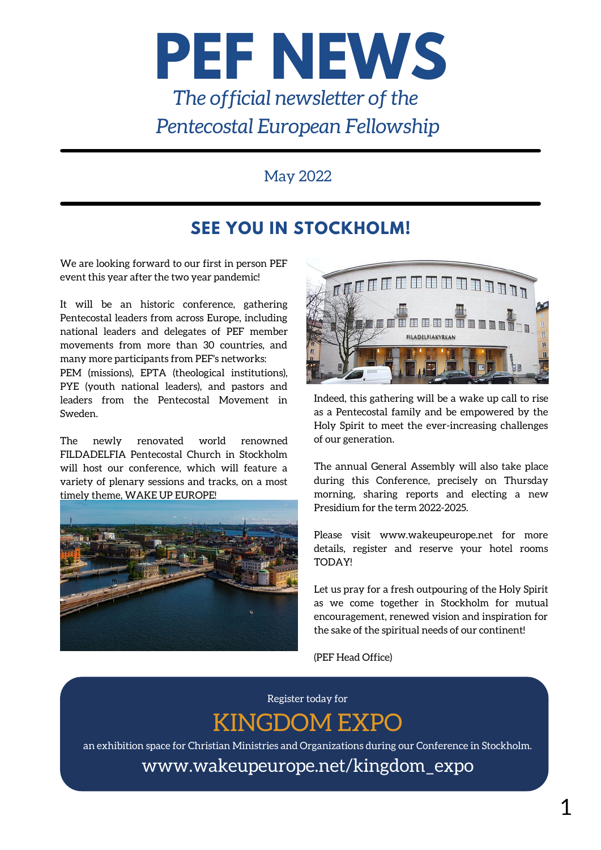

## May 2022

## **SEE YOU IN STOCKHOLM!**

We are looking forward to our first in person PEF event this year after the two year pandemic!

It will be an historic conference, gathering Pentecostal leaders from across Europe, including national leaders and delegates of PEF member movements from more than 30 countries, and many more participants from PEF's networks: PEM (missions), EPTA (theological institutions), PYE (youth national leaders), and pastors and leaders from the Pentecostal Movement in

The newly renovated world renowned FILDADELFIA Pentecostal Church in Stockholm will host our conference, which will feature a variety of plenary sessions and tracks, on a most timely theme, WAKE UP EUROPE!

Sweden.





Indeed, this gathering will be a wake up call to rise as a Pentecostal family and be empowered by the Holy Spirit to meet the ever-increasing challenges of our generation.

The annual General Assembly will also take place during this Conference, precisely on Thursday morning, sharing reports and electing a new Presidium for the term 2022-2025.

Please visit www.wakeupeurope.net for more details, register and reserve your hotel rooms TODAY!

Let us pray for a fresh outpouring of the Holy Spirit as we come together in Stockholm for mutual encouragement, renewed vision and inspiration for the sake of the spiritual needs of our continent!

(PEF Head Office)

Register today for KINGDOM EXPO

an exhibition space for Christian Ministries and Organizations during our Conference in Stockholm.

[www.wakeupeurope.net/](http://www.wakeupeurope.net/)kingdom\_expo